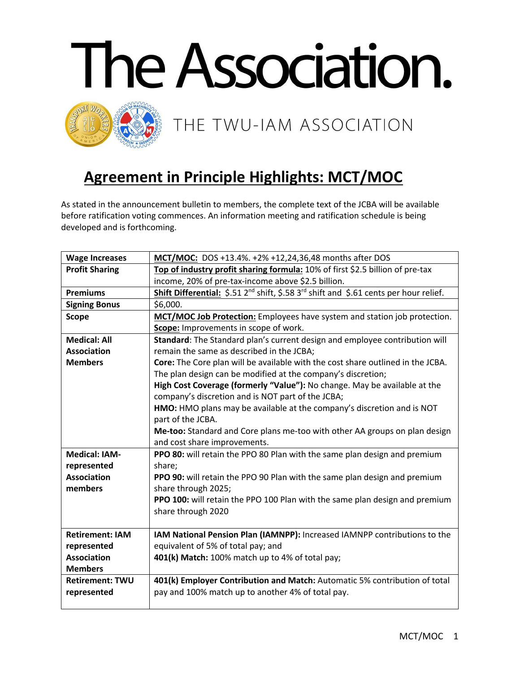

## **Agreement in Principle Highlights: MCT/MOC**

As stated in the announcement bulletin to members, the complete text of the JCBA will be available before ratification voting commences. An information meeting and ratification schedule is being developed and is forthcoming.

| <b>Wage Increases</b>  | MCT/MOC: DOS +13.4%. +2% +12,24,36,48 months after DOS                                                        |
|------------------------|---------------------------------------------------------------------------------------------------------------|
| <b>Profit Sharing</b>  | Top of industry profit sharing formula: 10% of first \$2.5 billion of pre-tax                                 |
|                        | income, 20% of pre-tax-income above \$2.5 billion.                                                            |
| <b>Premiums</b>        | Shift Differential: \$.51 2 <sup>nd</sup> shift, \$.58 3 <sup>rd</sup> shift and \$.61 cents per hour relief. |
| <b>Signing Bonus</b>   | \$6,000.                                                                                                      |
| <b>Scope</b>           | MCT/MOC Job Protection: Employees have system and station job protection.                                     |
|                        | Scope: Improvements in scope of work.                                                                         |
| <b>Medical: All</b>    | Standard: The Standard plan's current design and employee contribution will                                   |
| <b>Association</b>     | remain the same as described in the JCBA;                                                                     |
| <b>Members</b>         | Core: The Core plan will be available with the cost share outlined in the JCBA.                               |
|                        | The plan design can be modified at the company's discretion;                                                  |
|                        | High Cost Coverage (formerly "Value"): No change. May be available at the                                     |
|                        | company's discretion and is NOT part of the JCBA;                                                             |
|                        | HMO: HMO plans may be available at the company's discretion and is NOT                                        |
|                        | part of the JCBA.                                                                                             |
|                        | Me-too: Standard and Core plans me-too with other AA groups on plan design                                    |
|                        | and cost share improvements.                                                                                  |
| <b>Medical: IAM-</b>   | PPO 80: will retain the PPO 80 Plan with the same plan design and premium                                     |
| represented            | share;                                                                                                        |
| <b>Association</b>     | PPO 90: will retain the PPO 90 Plan with the same plan design and premium                                     |
| members                | share through 2025;                                                                                           |
|                        | PPO 100: will retain the PPO 100 Plan with the same plan design and premium                                   |
|                        | share through 2020                                                                                            |
| <b>Retirement: IAM</b> | IAM National Pension Plan (IAMNPP): Increased IAMNPP contributions to the                                     |
| represented            | equivalent of 5% of total pay; and                                                                            |
| <b>Association</b>     | 401(k) Match: 100% match up to 4% of total pay;                                                               |
| <b>Members</b>         |                                                                                                               |
| <b>Retirement: TWU</b> | 401(k) Employer Contribution and Match: Automatic 5% contribution of total                                    |
| represented            | pay and 100% match up to another 4% of total pay.                                                             |
|                        |                                                                                                               |